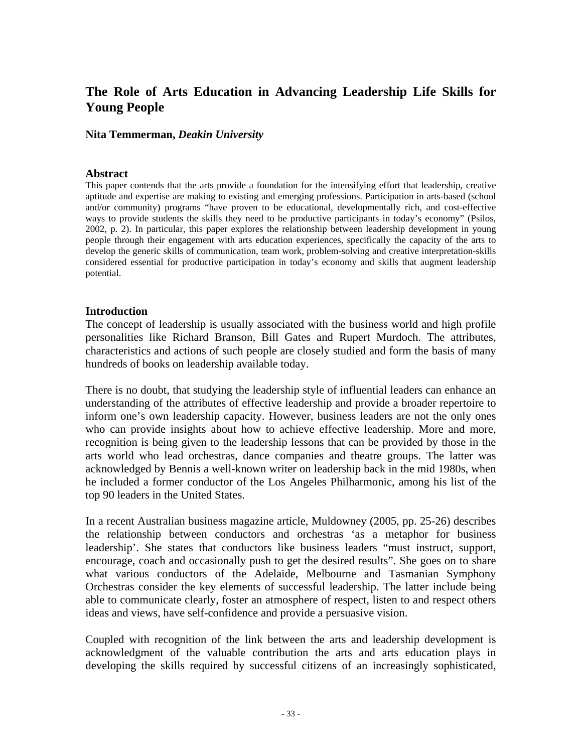# **The Role of Arts Education in Advancing Leadership Life Skills for Young People**

#### **Nita Temmerman,** *Deakin University*

#### **Abstract**

This paper contends that the arts provide a foundation for the intensifying effort that leadership, creative aptitude and expertise are making to existing and emerging professions. Participation in arts-based (school and/or community) programs "have proven to be educational, developmentally rich, and cost-effective ways to provide students the skills they need to be productive participants in today's economy" (Psilos, 2002, p. 2). In particular, this paper explores the relationship between leadership development in young people through their engagement with arts education experiences, specifically the capacity of the arts to develop the generic skills of communication, team work, problem-solving and creative interpretation-skills considered essential for productive participation in today's economy and skills that augment leadership potential.

### **Introduction**

The concept of leadership is usually associated with the business world and high profile personalities like Richard Branson, Bill Gates and Rupert Murdoch. The attributes, characteristics and actions of such people are closely studied and form the basis of many hundreds of books on leadership available today.

There is no doubt, that studying the leadership style of influential leaders can enhance an understanding of the attributes of effective leadership and provide a broader repertoire to inform one's own leadership capacity. However, business leaders are not the only ones who can provide insights about how to achieve effective leadership. More and more, recognition is being given to the leadership lessons that can be provided by those in the arts world who lead orchestras, dance companies and theatre groups. The latter was acknowledged by Bennis a well-known writer on leadership back in the mid 1980s, when he included a former conductor of the Los Angeles Philharmonic, among his list of the top 90 leaders in the United States.

In a recent Australian business magazine article, Muldowney (2005, pp. 25-26) describes the relationship between conductors and orchestras 'as a metaphor for business leadership'. She states that conductors like business leaders "must instruct, support, encourage, coach and occasionally push to get the desired results". She goes on to share what various conductors of the Adelaide, Melbourne and Tasmanian Symphony Orchestras consider the key elements of successful leadership. The latter include being able to communicate clearly, foster an atmosphere of respect, listen to and respect others ideas and views, have self-confidence and provide a persuasive vision.

Coupled with recognition of the link between the arts and leadership development is acknowledgment of the valuable contribution the arts and arts education plays in developing the skills required by successful citizens of an increasingly sophisticated,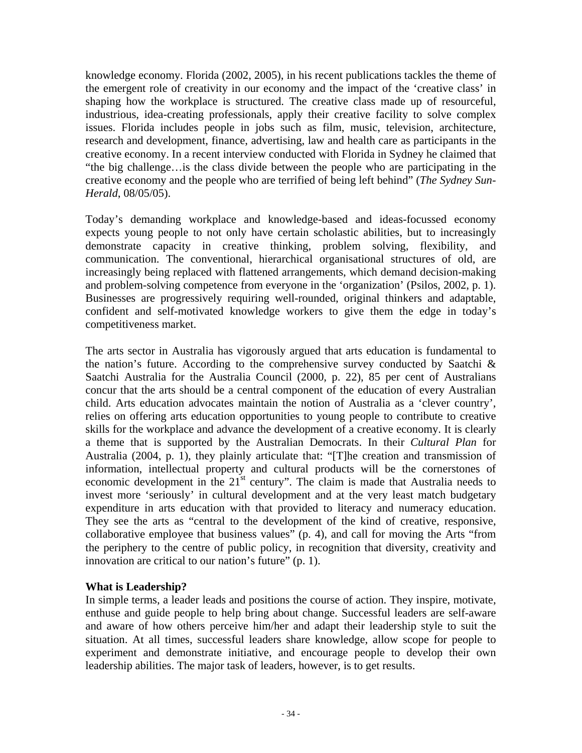knowledge economy. Florida (2002, 2005), in his recent publications tackles the theme of the emergent role of creativity in our economy and the impact of the 'creative class' in shaping how the workplace is structured. The creative class made up of resourceful, industrious, idea-creating professionals, apply their creative facility to solve complex issues. Florida includes people in jobs such as film, music, television, architecture, research and development, finance, advertising, law and health care as participants in the creative economy. In a recent interview conducted with Florida in Sydney he claimed that "the big challenge…is the class divide between the people who are participating in the creative economy and the people who are terrified of being left behind" (*The Sydney Sun-Herald*, 08/05/05).

Today's demanding workplace and knowledge-based and ideas-focussed economy expects young people to not only have certain scholastic abilities, but to increasingly demonstrate capacity in creative thinking, problem solving, flexibility, and communication. The conventional, hierarchical organisational structures of old, are increasingly being replaced with flattened arrangements, which demand decision-making and problem-solving competence from everyone in the 'organization' (Psilos, 2002, p. 1). Businesses are progressively requiring well-rounded, original thinkers and adaptable, confident and self-motivated knowledge workers to give them the edge in today's competitiveness market.

The arts sector in Australia has vigorously argued that arts education is fundamental to the nation's future. According to the comprehensive survey conducted by Saatchi & Saatchi Australia for the Australia Council (2000, p. 22), 85 per cent of Australians concur that the arts should be a central component of the education of every Australian child. Arts education advocates maintain the notion of Australia as a 'clever country', relies on offering arts education opportunities to young people to contribute to creative skills for the workplace and advance the development of a creative economy. It is clearly a theme that is supported by the Australian Democrats. In their *Cultural Plan* for Australia (2004, p. 1), they plainly articulate that: "[T]he creation and transmission of information, intellectual property and cultural products will be the cornerstones of economic development in the 21<sup>st</sup> century". The claim is made that Australia needs to invest more 'seriously' in cultural development and at the very least match budgetary expenditure in arts education with that provided to literacy and numeracy education. They see the arts as "central to the development of the kind of creative, responsive, collaborative employee that business values" (p. 4), and call for moving the Arts "from the periphery to the centre of public policy, in recognition that diversity, creativity and innovation are critical to our nation's future" (p. 1).

# **What is Leadership?**

In simple terms, a leader leads and positions the course of action. They inspire, motivate, enthuse and guide people to help bring about change. Successful leaders are self-aware and aware of how others perceive him/her and adapt their leadership style to suit the situation. At all times, successful leaders share knowledge, allow scope for people to experiment and demonstrate initiative, and encourage people to develop their own leadership abilities. The major task of leaders, however, is to get results.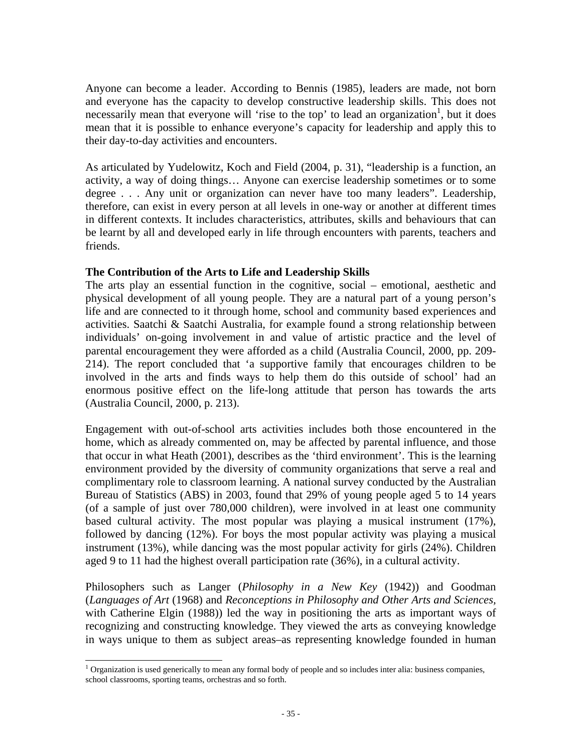Anyone can become a leader. According to Bennis (1985), leaders are made, not born and everyone has the capacity to develop constructive leadership skills. This does not necessarily mean that everyone will 'rise to the top' to lead an organization<sup>1</sup>, but it does mean that it is possible to enhance everyone's capacity for leadership and apply this to their day-to-day activities and encounters.

As articulated by Yudelowitz, Koch and Field (2004, p. 31), "leadership is a function, an activity, a way of doing things… Anyone can exercise leadership sometimes or to some degree . . . Any unit or organization can never have too many leaders". Leadership, therefore, can exist in every person at all levels in one-way or another at different times in different contexts. It includes characteristics, attributes, skills and behaviours that can be learnt by all and developed early in life through encounters with parents, teachers and friends.

## **The Contribution of the Arts to Life and Leadership Skills**

The arts play an essential function in the cognitive, social – emotional, aesthetic and physical development of all young people. They are a natural part of a young person's life and are connected to it through home, school and community based experiences and activities. Saatchi & Saatchi Australia, for example found a strong relationship between individuals' on-going involvement in and value of artistic practice and the level of parental encouragement they were afforded as a child (Australia Council, 2000, pp. 209- 214). The report concluded that 'a supportive family that encourages children to be involved in the arts and finds ways to help them do this outside of school' had an enormous positive effect on the life-long attitude that person has towards the arts (Australia Council, 2000, p. 213).

Engagement with out-of-school arts activities includes both those encountered in the home, which as already commented on, may be affected by parental influence, and those that occur in what Heath (2001), describes as the 'third environment'. This is the learning environment provided by the diversity of community organizations that serve a real and complimentary role to classroom learning. A national survey conducted by the Australian Bureau of Statistics (ABS) in 2003, found that 29% of young people aged 5 to 14 years (of a sample of just over 780,000 children), were involved in at least one community based cultural activity. The most popular was playing a musical instrument (17%), followed by dancing (12%). For boys the most popular activity was playing a musical instrument (13%), while dancing was the most popular activity for girls (24%). Children aged 9 to 11 had the highest overall participation rate (36%), in a cultural activity.

Philosophers such as Langer (*Philosophy in a New Key* (1942)) and Goodman (*Languages of Art* (1968) and *Reconceptions in Philosophy and Other Arts and Sciences,* with Catherine Elgin (1988)) led the way in positioning the arts as important ways of recognizing and constructing knowledge. They viewed the arts as conveying knowledge in ways unique to them as subject areas–as representing knowledge founded in human

 1 Organization is used generically to mean any formal body of people and so includes inter alia: business companies, school classrooms, sporting teams, orchestras and so forth.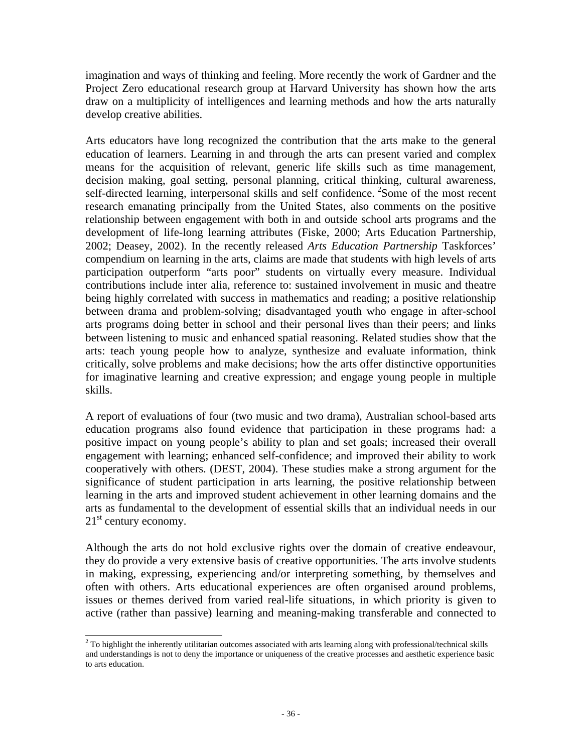imagination and ways of thinking and feeling. More recently the work of Gardner and the Project Zero educational research group at Harvard University has shown how the arts draw on a multiplicity of intelligences and learning methods and how the arts naturally develop creative abilities.

Arts educators have long recognized the contribution that the arts make to the general education of learners. Learning in and through the arts can present varied and complex means for the acquisition of relevant, generic life skills such as time management, decision making, goal setting, personal planning, critical thinking, cultural awareness, self-directed learning, interpersonal skills and self confidence. <sup>2</sup>Some of the most recent research emanating principally from the United States, also comments on the positive relationship between engagement with both in and outside school arts programs and the development of life-long learning attributes (Fiske, 2000; Arts Education Partnership, 2002; Deasey, 2002). In the recently released *Arts Education Partnership* Taskforces' compendium on learning in the arts, claims are made that students with high levels of arts participation outperform "arts poor" students on virtually every measure. Individual contributions include inter alia, reference to: sustained involvement in music and theatre being highly correlated with success in mathematics and reading; a positive relationship between drama and problem-solving; disadvantaged youth who engage in after-school arts programs doing better in school and their personal lives than their peers; and links between listening to music and enhanced spatial reasoning. Related studies show that the arts: teach young people how to analyze, synthesize and evaluate information, think critically, solve problems and make decisions; how the arts offer distinctive opportunities for imaginative learning and creative expression; and engage young people in multiple skills.

A report of evaluations of four (two music and two drama), Australian school-based arts education programs also found evidence that participation in these programs had: a positive impact on young people's ability to plan and set goals; increased their overall engagement with learning; enhanced self-confidence; and improved their ability to work cooperatively with others. (DEST, 2004). These studies make a strong argument for the significance of student participation in arts learning, the positive relationship between learning in the arts and improved student achievement in other learning domains and the arts as fundamental to the development of essential skills that an individual needs in our  $21<sup>st</sup>$  century economy.

Although the arts do not hold exclusive rights over the domain of creative endeavour, they do provide a very extensive basis of creative opportunities. The arts involve students in making, expressing, experiencing and/or interpreting something, by themselves and often with others. Arts educational experiences are often organised around problems, issues or themes derived from varied real-life situations, in which priority is given to active (rather than passive) learning and meaning-making transferable and connected to

<sup>&</sup>lt;sup>2</sup> To highlight the inherently utilitarian outcomes associated with arts learning along with professional/technical skills and understandings is not to deny the importance or uniqueness of the creative processes and aesthetic experience basic to arts education.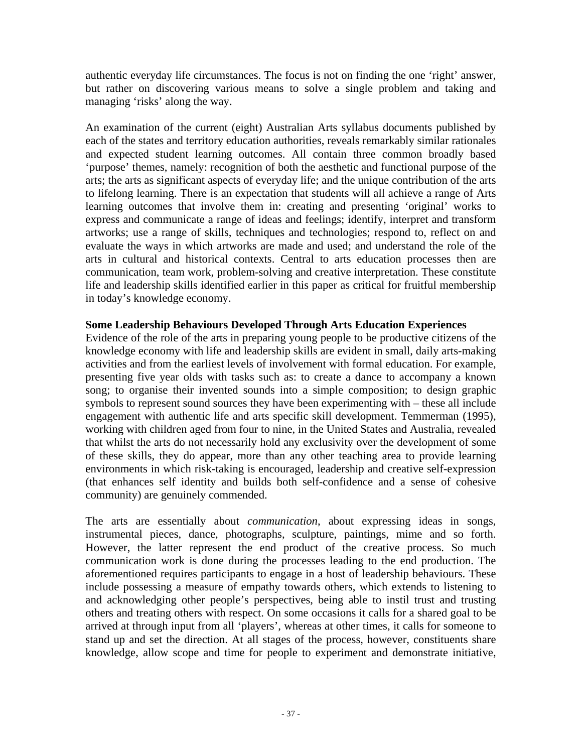authentic everyday life circumstances. The focus is not on finding the one 'right' answer, but rather on discovering various means to solve a single problem and taking and managing 'risks' along the way.

An examination of the current (eight) Australian Arts syllabus documents published by each of the states and territory education authorities, reveals remarkably similar rationales and expected student learning outcomes. All contain three common broadly based 'purpose' themes, namely: recognition of both the aesthetic and functional purpose of the arts; the arts as significant aspects of everyday life; and the unique contribution of the arts to lifelong learning. There is an expectation that students will all achieve a range of Arts learning outcomes that involve them in: creating and presenting 'original' works to express and communicate a range of ideas and feelings; identify, interpret and transform artworks; use a range of skills, techniques and technologies; respond to, reflect on and evaluate the ways in which artworks are made and used; and understand the role of the arts in cultural and historical contexts. Central to arts education processes then are communication, team work, problem-solving and creative interpretation. These constitute life and leadership skills identified earlier in this paper as critical for fruitful membership in today's knowledge economy.

# **Some Leadership Behaviours Developed Through Arts Education Experiences**

Evidence of the role of the arts in preparing young people to be productive citizens of the knowledge economy with life and leadership skills are evident in small, daily arts-making activities and from the earliest levels of involvement with formal education. For example, presenting five year olds with tasks such as: to create a dance to accompany a known song; to organise their invented sounds into a simple composition; to design graphic symbols to represent sound sources they have been experimenting with – these all include engagement with authentic life and arts specific skill development. Temmerman (1995), working with children aged from four to nine, in the United States and Australia, revealed that whilst the arts do not necessarily hold any exclusivity over the development of some of these skills, they do appear, more than any other teaching area to provide learning environments in which risk-taking is encouraged, leadership and creative self-expression (that enhances self identity and builds both self-confidence and a sense of cohesive community) are genuinely commended.

The arts are essentially about *communication*, about expressing ideas in songs, instrumental pieces, dance, photographs, sculpture, paintings, mime and so forth. However, the latter represent the end product of the creative process. So much communication work is done during the processes leading to the end production. The aforementioned requires participants to engage in a host of leadership behaviours. These include possessing a measure of empathy towards others, which extends to listening to and acknowledging other people's perspectives, being able to instil trust and trusting others and treating others with respect. On some occasions it calls for a shared goal to be arrived at through input from all 'players', whereas at other times, it calls for someone to stand up and set the direction. At all stages of the process, however, constituents share knowledge, allow scope and time for people to experiment and demonstrate initiative,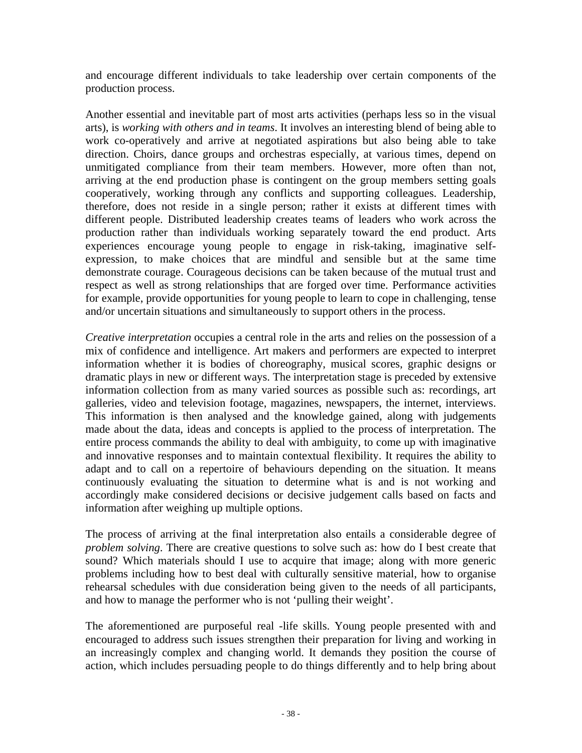and encourage different individuals to take leadership over certain components of the production process.

Another essential and inevitable part of most arts activities (perhaps less so in the visual arts), is *working with others and in teams*. It involves an interesting blend of being able to work co-operatively and arrive at negotiated aspirations but also being able to take direction. Choirs, dance groups and orchestras especially, at various times, depend on unmitigated compliance from their team members. However, more often than not, arriving at the end production phase is contingent on the group members setting goals cooperatively, working through any conflicts and supporting colleagues. Leadership, therefore, does not reside in a single person; rather it exists at different times with different people. Distributed leadership creates teams of leaders who work across the production rather than individuals working separately toward the end product. Arts experiences encourage young people to engage in risk-taking, imaginative selfexpression, to make choices that are mindful and sensible but at the same time demonstrate courage. Courageous decisions can be taken because of the mutual trust and respect as well as strong relationships that are forged over time. Performance activities for example, provide opportunities for young people to learn to cope in challenging, tense and/or uncertain situations and simultaneously to support others in the process.

*Creative interpretation* occupies a central role in the arts and relies on the possession of a mix of confidence and intelligence. Art makers and performers are expected to interpret information whether it is bodies of choreography, musical scores, graphic designs or dramatic plays in new or different ways. The interpretation stage is preceded by extensive information collection from as many varied sources as possible such as: recordings, art galleries, video and television footage, magazines, newspapers, the internet, interviews. This information is then analysed and the knowledge gained, along with judgements made about the data, ideas and concepts is applied to the process of interpretation. The entire process commands the ability to deal with ambiguity, to come up with imaginative and innovative responses and to maintain contextual flexibility. It requires the ability to adapt and to call on a repertoire of behaviours depending on the situation. It means continuously evaluating the situation to determine what is and is not working and accordingly make considered decisions or decisive judgement calls based on facts and information after weighing up multiple options.

The process of arriving at the final interpretation also entails a considerable degree of *problem solving*. There are creative questions to solve such as: how do I best create that sound? Which materials should I use to acquire that image; along with more generic problems including how to best deal with culturally sensitive material, how to organise rehearsal schedules with due consideration being given to the needs of all participants, and how to manage the performer who is not 'pulling their weight'.

The aforementioned are purposeful real -life skills. Young people presented with and encouraged to address such issues strengthen their preparation for living and working in an increasingly complex and changing world. It demands they position the course of action, which includes persuading people to do things differently and to help bring about